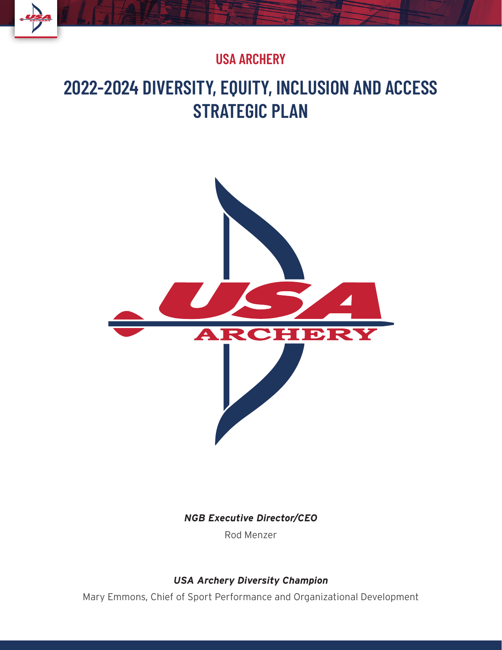### **USA ARCHERY**

# **2022-2024 DIVERSITY, EQUITY, INCLUSION AND ACCESS STRATEGIC PLAN**



*NGB Executive Director/CEO*

Rod Menzer

#### *USA Archery Diversity Champion*

Mary Emmons, Chief of Sport Performance and Organizational Development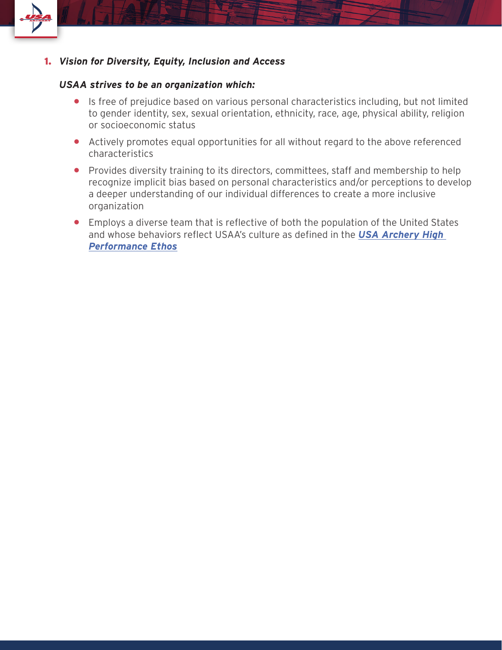

1. *Vision for Diversity, Equity, Inclusion and Access*

#### *USAA strives to be an organization which:*

- Is free of prejudice based on various personal characteristics including, but not limited to gender identity, sex, sexual orientation, ethnicity, race, age, physical ability, religion or socioeconomic status
- Actively promotes equal opportunities for all without regard to the above referenced characteristics
- Provides diversity training to its directors, committees, staff and membership to help recognize implicit bias based on personal characteristics and/or perceptions to develop a deeper understanding of our individual differences to create a more inclusive organization
- Employs a diverse team that is reflective of both the population of the United States and whose behaviors reflect USAA's culture as defined in the *USA Archery High Performance Ethos*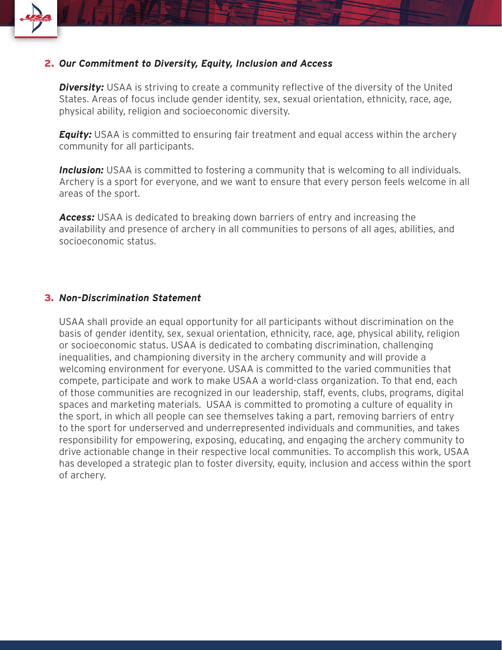

#### 2. *Our Commitment to Diversity, Equity, Inclusion and Access*

*Diversity:* USAA is striving to create a community reflective of the diversity of the United States. Areas of focus include gender identity, sex, sexual orientation, ethnicity, race, age, physical ability, religion and socioeconomic diversity.

*Equity:* USAA is committed to ensuring fair treatment and equal access within the archery community for all participants.

**Inclusion:** USAA is committed to fostering a community that is welcoming to all individuals. Archery is a sport for everyone, and we want to ensure that every person feels welcome in all areas of the sport.

*Access:* USAA is dedicated to breaking down barriers of entry and increasing the availability and presence of archery in all communities to persons of all ages, abilities, and socioeconomic status.

#### 3. *Non-Discrimination Statement*

USAA shall provide an equal opportunity for all participants without discrimination on the basis of gender identity, sex, sexual orientation, ethnicity, race, age, physical ability, religion or socioeconomic status. USAA is dedicated to combating discrimination, challenging inequalities, and championing diversity in the archery community and will provide a welcoming environment for everyone. USAA is committed to the varied communities that compete, participate and work to make USAA a world-class organization. To that end, each of those communities are recognized in our leadership, staff, events, clubs, programs, digital spaces and marketing materials. USAA is committed to promoting a culture of equality in the sport, in which all people can see themselves taking a part, removing barriers of entry to the sport for underserved and underrepresented individuals and communities, and takes responsibility for empowering, exposing, educating, and engaging the archery community to drive actionable change in their respective local communities. To accomplish this work, USAA has developed a strategic plan to foster diversity, equity, inclusion and access within the sport of archery.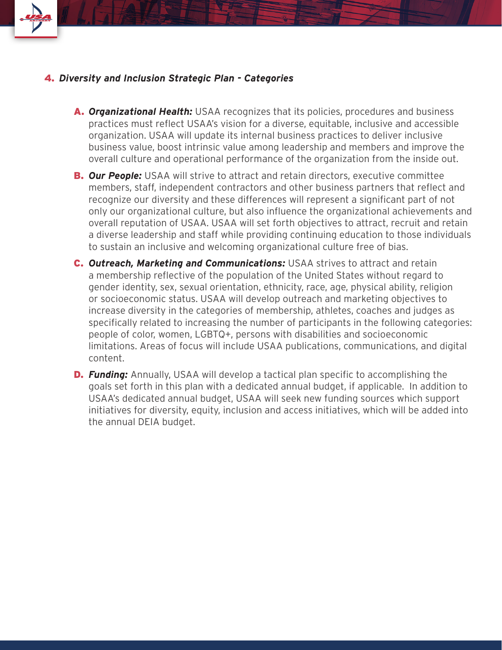

#### 4. *Diversity and Inclusion Strategic Plan - Categories*

- A. *Organizational Health:* USAA recognizes that its policies, procedures and business practices must reflect USAA's vision for a diverse, equitable, inclusive and accessible organization. USAA will update its internal business practices to deliver inclusive business value, boost intrinsic value among leadership and members and improve the overall culture and operational performance of the organization from the inside out.
- **B. Our People:** USAA will strive to attract and retain directors, executive committee members, staff, independent contractors and other business partners that reflect and recognize our diversity and these differences will represent a significant part of not only our organizational culture, but also influence the organizational achievements and overall reputation of USAA. USAA will set forth objectives to attract, recruit and retain a diverse leadership and staff while providing continuing education to those individuals to sustain an inclusive and welcoming organizational culture free of bias.
- C. *Outreach, Marketing and Communications:* USAA strives to attract and retain a membership reflective of the population of the United States without regard to gender identity, sex, sexual orientation, ethnicity, race, age, physical ability, religion or socioeconomic status. USAA will develop outreach and marketing objectives to increase diversity in the categories of membership, athletes, coaches and judges as specifically related to increasing the number of participants in the following categories: people of color, women, LGBTQ+, persons with disabilities and socioeconomic limitations. Areas of focus will include USAA publications, communications, and digital content.
- **D. Funding:** Annually, USAA will develop a tactical plan specific to accomplishing the goals set forth in this plan with a dedicated annual budget, if applicable. In addition to USAA's dedicated annual budget, USAA will seek new funding sources which support initiatives for diversity, equity, inclusion and access initiatives, which will be added into the annual DEIA budget.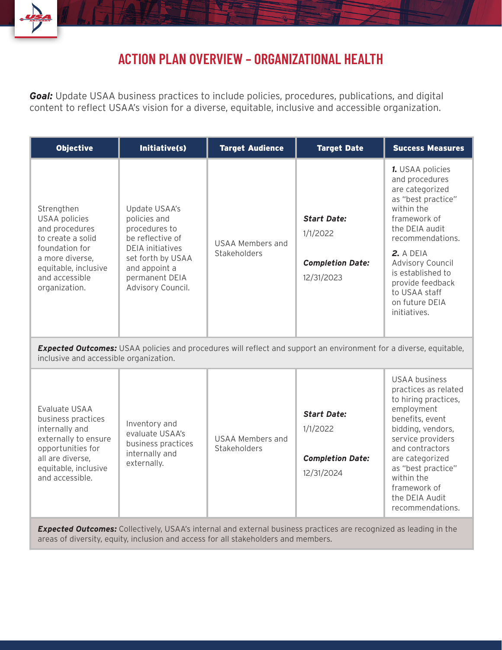

# **ACTION PLAN OVERVIEW – ORGANIZATIONAL HEALTH**

**Goal:** Update USAA business practices to include policies, procedures, publications, and digital content to reflect USAA's vision for a diverse, equitable, inclusive and accessible organization.

| <b>Objective</b>                                                                                                                                                          | Initiative(s)                                                                                                                                                              | <b>Target Audience</b>                  | <b>Target Date</b>                                                      | <b>Success Measures</b>                                                                                                                                                                                                                                                             |  |
|---------------------------------------------------------------------------------------------------------------------------------------------------------------------------|----------------------------------------------------------------------------------------------------------------------------------------------------------------------------|-----------------------------------------|-------------------------------------------------------------------------|-------------------------------------------------------------------------------------------------------------------------------------------------------------------------------------------------------------------------------------------------------------------------------------|--|
| Strengthen<br><b>USAA</b> policies<br>and procedures<br>to create a solid<br>foundation for<br>a more diverse,<br>equitable, inclusive<br>and accessible<br>organization. | Update USAA's<br>policies and<br>procedures to<br>be reflective of<br><b>DEIA</b> initiatives<br>set forth by USAA<br>and appoint a<br>permanent DEIA<br>Advisory Council. | <b>USAA Members and</b><br>Stakeholders | <b>Start Date:</b><br>1/1/2022<br><b>Completion Date:</b><br>12/31/2023 | 1. USAA policies<br>and procedures<br>are categorized<br>as "best practice"<br>within the<br>framework of<br>the DEIA audit<br>recommendations.<br>2. A DEIA<br><b>Advisory Council</b><br>is established to<br>provide feedback<br>to USAA staff<br>on future DEIA<br>initiatives. |  |
| <b>Expected Outcomes:</b> USAA policies and procedures will reflect and support an environment for a diverse, equitable,<br>inclusive and accessible organization.        |                                                                                                                                                                            |                                         |                                                                         |                                                                                                                                                                                                                                                                                     |  |
| Evaluate USAA<br>business practices<br>internally and<br>externally to ensure<br>opportunities for<br>all are diverse,<br>equitable, inclusive<br>and accessible.         | Inventory and<br>evaluate USAA's<br>business practices<br>internally and<br>externally.                                                                                    | <b>USAA Members and</b><br>Stakeholders | <b>Start Date:</b><br>1/1/2022<br><b>Completion Date:</b><br>12/31/2024 | <b>USAA business</b><br>practices as related<br>to hiring practices,<br>employment<br>benefits, event<br>bidding, vendors,<br>service providers<br>and contractors<br>are categorized<br>as "best practice"<br>within the<br>framework of<br>the DEIA Audit<br>recommendations.     |  |

*Expected Outcomes:* Collectively, USAA's internal and external business practices are recognized as leading in the areas of diversity, equity, inclusion and access for all stakeholders and members.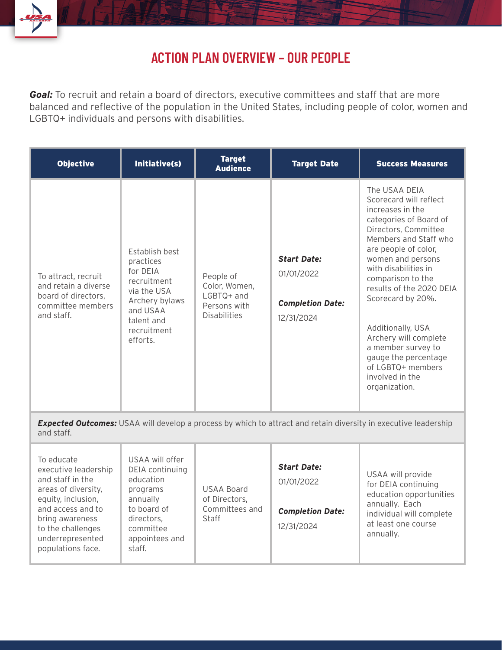

# **ACTION PLAN OVERVIEW – OUR PEOPLE**

**Goal:** To recruit and retain a board of directors, executive committees and staff that are more balanced and reflective of the population in the United States, including people of color, women and LGBTQ+ individuals and persons with disabilities.

| <b>Objective</b>                                                                                      | Initiative(s)                                                                                                                                       | <b>Target</b><br><b>Audience</b>                                                  | <b>Target Date</b>                                                        | <b>Success Measures</b>                                                                                                                                                                                                                                                                                                                                                                                                                |
|-------------------------------------------------------------------------------------------------------|-----------------------------------------------------------------------------------------------------------------------------------------------------|-----------------------------------------------------------------------------------|---------------------------------------------------------------------------|----------------------------------------------------------------------------------------------------------------------------------------------------------------------------------------------------------------------------------------------------------------------------------------------------------------------------------------------------------------------------------------------------------------------------------------|
| To attract, recruit<br>and retain a diverse<br>board of directors,<br>committee members<br>and staff. | <b>Establish best</b><br>practices<br>for DFIA<br>recruitment<br>via the USA<br>Archery bylaws<br>and USAA<br>talent and<br>recruitment<br>efforts. | People of<br>Color, Women,<br>$LGBTQ+$ and<br>Persons with<br><b>Disabilities</b> | <b>Start Date:</b><br>01/01/2022<br><b>Completion Date:</b><br>12/31/2024 | The USAA DEIA<br>Scorecard will reflect<br>increases in the<br>categories of Board of<br>Directors, Committee<br>Members and Staff who<br>are people of color,<br>women and persons<br>with disabilities in<br>comparison to the<br>results of the 2020 DEIA<br>Scorecard by 20%.<br>Additionally, USA<br>Archery will complete<br>a member survey to<br>gauge the percentage<br>of LGBTQ+ members<br>involved in the<br>organization. |

*Expected Outcomes:* USAA will develop a process by which to attract and retain diversity in executive leadership and staff.

| To educate<br>executive leadership<br>and staff in the<br>areas of diversity,<br>equity, inclusion,<br>and access and to<br>bring awareness<br>to the challenges<br>underrepresented<br>populations face. | USAA will offer<br>DEIA continuing<br>education<br>programs<br>annually<br>to board of<br>directors.<br>committee<br>appointees and<br>staff. | <b>USAA Board</b><br>of Directors,<br>Committees and<br>Staff | <b>Start Date:</b><br>01/01/2022<br><b>Completion Date:</b><br>12/31/2024 | USAA will provide<br>for DEIA continuing<br>education opportunities<br>annually. Each<br>individual will complete<br>at least one course<br>annually. |
|-----------------------------------------------------------------------------------------------------------------------------------------------------------------------------------------------------------|-----------------------------------------------------------------------------------------------------------------------------------------------|---------------------------------------------------------------|---------------------------------------------------------------------------|-------------------------------------------------------------------------------------------------------------------------------------------------------|
|-----------------------------------------------------------------------------------------------------------------------------------------------------------------------------------------------------------|-----------------------------------------------------------------------------------------------------------------------------------------------|---------------------------------------------------------------|---------------------------------------------------------------------------|-------------------------------------------------------------------------------------------------------------------------------------------------------|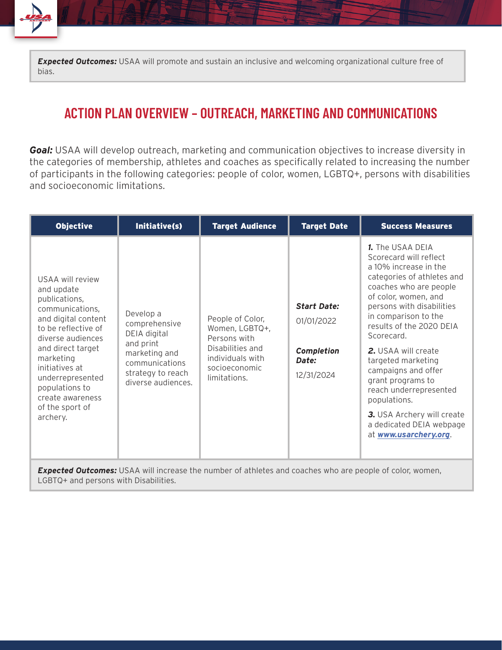*Expected Outcomes:* USAA will promote and sustain an inclusive and welcoming organizational culture free of bias.

### **ACTION PLAN OVERVIEW – OUTREACH, MARKETING AND COMMUNICATIONS**

**Goal:** USAA will develop outreach, marketing and communication objectives to increase diversity in the categories of membership, athletes and coaches as specifically related to increasing the number of participants in the following categories: people of color, women, LGBTQ+, persons with disabilities and socioeconomic limitations.

| <b>Objective</b>                                                                                                                                                                                                                                                                   | Initiative(s)                                                                                                                         | <b>Target Audience</b>                                                                                                      | <b>Target Date</b>                                                    | <b>Success Measures</b>                                                                                                                                                                                                                                                                                                                                                                                                                                                         |
|------------------------------------------------------------------------------------------------------------------------------------------------------------------------------------------------------------------------------------------------------------------------------------|---------------------------------------------------------------------------------------------------------------------------------------|-----------------------------------------------------------------------------------------------------------------------------|-----------------------------------------------------------------------|---------------------------------------------------------------------------------------------------------------------------------------------------------------------------------------------------------------------------------------------------------------------------------------------------------------------------------------------------------------------------------------------------------------------------------------------------------------------------------|
| USAA will review<br>and update<br>publications,<br>communications,<br>and digital content<br>to be reflective of<br>diverse audiences<br>and direct target<br>marketing<br>initiatives at<br>underrepresented<br>populations to<br>create awareness<br>of the sport of<br>archery. | Develop a<br>comprehensive<br>DEIA digital<br>and print<br>marketing and<br>communications<br>strategy to reach<br>diverse audiences. | People of Color,<br>Women, LGBTQ+,<br>Persons with<br>Disabilities and<br>individuals with<br>socioeconomic<br>limitations. | <b>Start Date:</b><br>01/01/2022<br>Completion<br>Date:<br>12/31/2024 | 1. The USAA DEIA<br>Scorecard will reflect<br>a 10% increase in the<br>categories of athletes and<br>coaches who are people<br>of color, women, and<br>persons with disabilities<br>in comparison to the<br>results of the 2020 DEIA<br>Scorecard.<br><b>2.</b> USAA will create<br>targeted marketing<br>campaigns and offer<br>grant programs to<br>reach underrepresented<br>populations.<br>3. USA Archery will create<br>a dedicated DEIA webpage<br>at www.usarchery.org. |

*Expected Outcomes:* USAA will increase the number of athletes and coaches who are people of color, women, LGBTQ+ and persons with Disabilities.